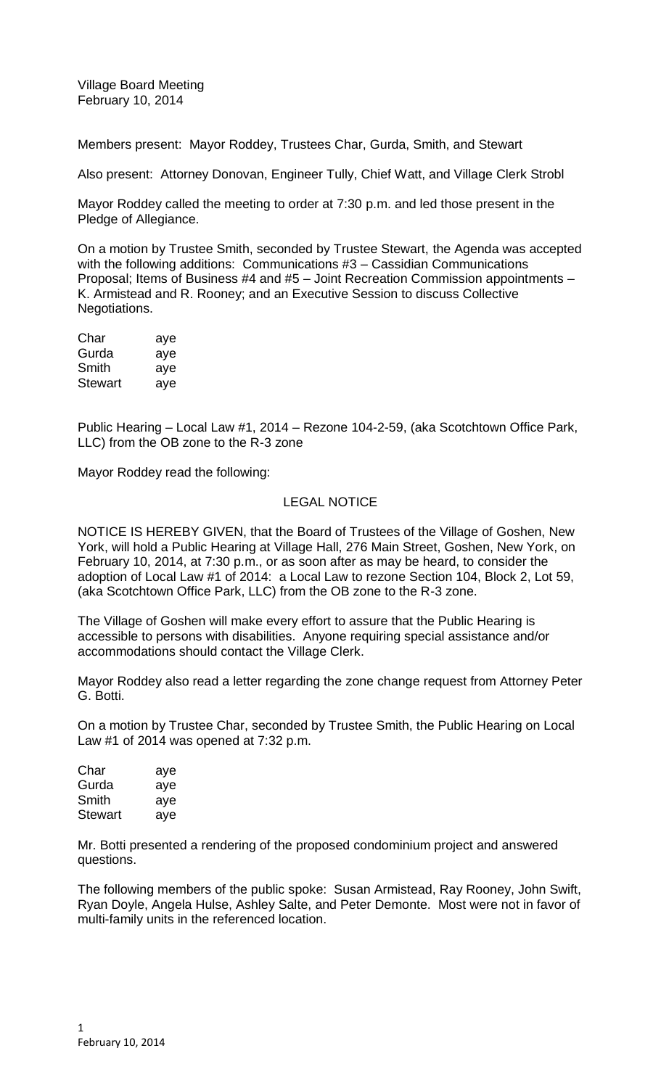Village Board Meeting February 10, 2014

Members present: Mayor Roddey, Trustees Char, Gurda, Smith, and Stewart

Also present: Attorney Donovan, Engineer Tully, Chief Watt, and Village Clerk Strobl

Mayor Roddey called the meeting to order at 7:30 p.m. and led those present in the Pledge of Allegiance.

On a motion by Trustee Smith, seconded by Trustee Stewart, the Agenda was accepted with the following additions: Communications #3 – Cassidian Communications Proposal; Items of Business #4 and #5 – Joint Recreation Commission appointments – K. Armistead and R. Rooney; and an Executive Session to discuss Collective Negotiations.

| Char           | aye |
|----------------|-----|
| Gurda          | aye |
| Smith          | aye |
| <b>Stewart</b> | aye |

Public Hearing – Local Law #1, 2014 – Rezone 104-2-59, (aka Scotchtown Office Park, LLC) from the OB zone to the R-3 zone

Mayor Roddey read the following:

## LEGAL NOTICE

NOTICE IS HEREBY GIVEN, that the Board of Trustees of the Village of Goshen, New York, will hold a Public Hearing at Village Hall, 276 Main Street, Goshen, New York, on February 10, 2014, at 7:30 p.m., or as soon after as may be heard, to consider the adoption of Local Law #1 of 2014: a Local Law to rezone Section 104, Block 2, Lot 59, (aka Scotchtown Office Park, LLC) from the OB zone to the R-3 zone.

The Village of Goshen will make every effort to assure that the Public Hearing is accessible to persons with disabilities. Anyone requiring special assistance and/or accommodations should contact the Village Clerk.

Mayor Roddey also read a letter regarding the zone change request from Attorney Peter G. Botti.

On a motion by Trustee Char, seconded by Trustee Smith, the Public Hearing on Local Law #1 of 2014 was opened at 7:32 p.m.

| Char           | aye |
|----------------|-----|
| Gurda          | aye |
| Smith          | aye |
| <b>Stewart</b> | aye |

Mr. Botti presented a rendering of the proposed condominium project and answered questions.

The following members of the public spoke: Susan Armistead, Ray Rooney, John Swift, Ryan Doyle, Angela Hulse, Ashley Salte, and Peter Demonte. Most were not in favor of multi-family units in the referenced location.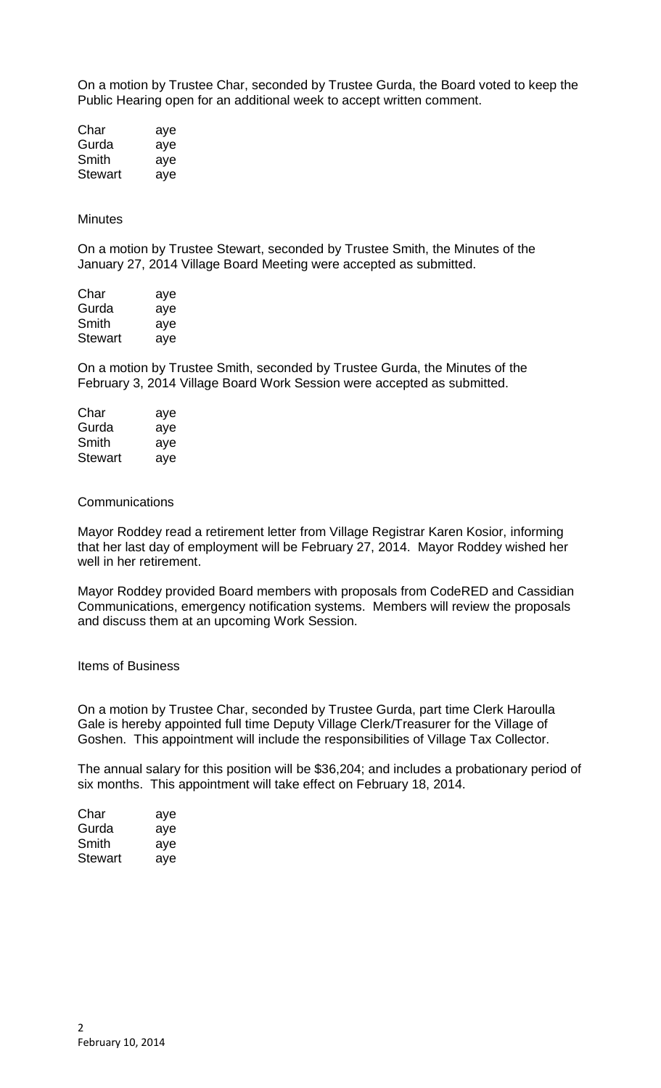On a motion by Trustee Char, seconded by Trustee Gurda, the Board voted to keep the Public Hearing open for an additional week to accept written comment.

| Char    | aye |
|---------|-----|
| Gurda   | aye |
| Smith   | aye |
| Stewart | aye |

#### **Minutes**

On a motion by Trustee Stewart, seconded by Trustee Smith, the Minutes of the January 27, 2014 Village Board Meeting were accepted as submitted.

| Char    | aye |
|---------|-----|
| Gurda   | aye |
| Smith   | aye |
| Stewart | aye |

On a motion by Trustee Smith, seconded by Trustee Gurda, the Minutes of the February 3, 2014 Village Board Work Session were accepted as submitted.

| Char           | aye |
|----------------|-----|
| Gurda          | aye |
| Smith          | aye |
| <b>Stewart</b> | aye |

#### **Communications**

Mayor Roddey read a retirement letter from Village Registrar Karen Kosior, informing that her last day of employment will be February 27, 2014. Mayor Roddey wished her well in her retirement.

Mayor Roddey provided Board members with proposals from CodeRED and Cassidian Communications, emergency notification systems. Members will review the proposals and discuss them at an upcoming Work Session.

Items of Business

On a motion by Trustee Char, seconded by Trustee Gurda, part time Clerk Haroulla Gale is hereby appointed full time Deputy Village Clerk/Treasurer for the Village of Goshen. This appointment will include the responsibilities of Village Tax Collector.

The annual salary for this position will be \$36,204; and includes a probationary period of six months. This appointment will take effect on February 18, 2014.

| Char    | aye |
|---------|-----|
| Gurda   | aye |
| Smith   | aye |
| Stewart | aye |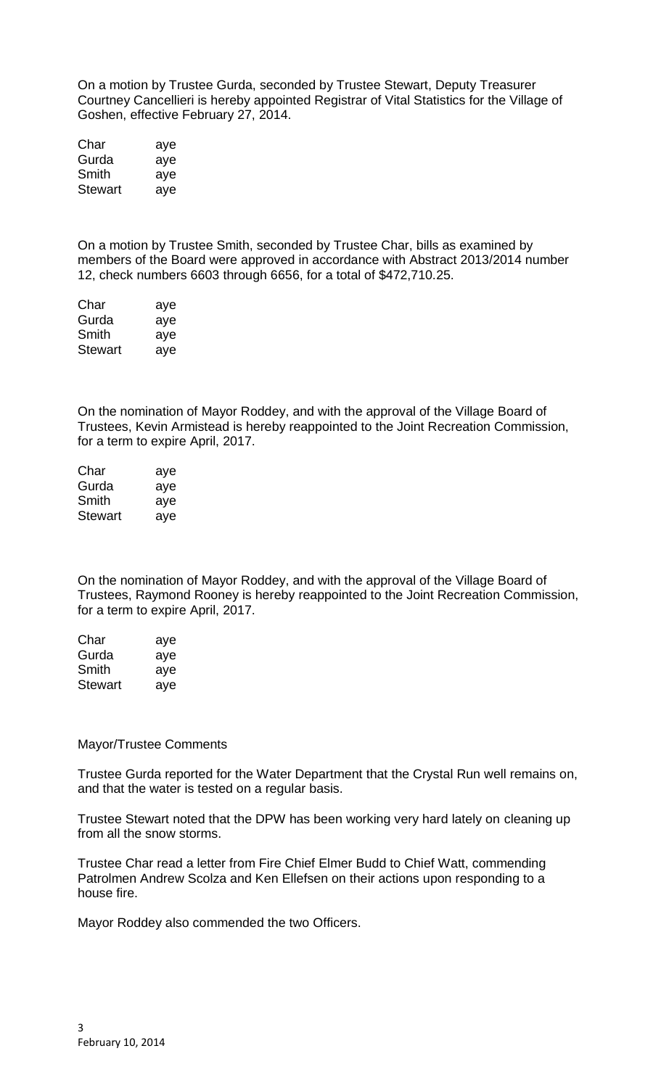On a motion by Trustee Gurda, seconded by Trustee Stewart, Deputy Treasurer Courtney Cancellieri is hereby appointed Registrar of Vital Statistics for the Village of Goshen, effective February 27, 2014.

| Char    | aye |
|---------|-----|
| Gurda   | aye |
| Smith   | aye |
| Stewart | aye |

On a motion by Trustee Smith, seconded by Trustee Char, bills as examined by members of the Board were approved in accordance with Abstract 2013/2014 number 12, check numbers 6603 through 6656, for a total of \$472,710.25.

| Char    | aye |
|---------|-----|
| Gurda   | aye |
| Smith   | aye |
| Stewart | aye |

On the nomination of Mayor Roddey, and with the approval of the Village Board of Trustees, Kevin Armistead is hereby reappointed to the Joint Recreation Commission, for a term to expire April, 2017.

| Char    | aye |
|---------|-----|
| Gurda   | aye |
| Smith   | aye |
| Stewart | aye |

On the nomination of Mayor Roddey, and with the approval of the Village Board of Trustees, Raymond Rooney is hereby reappointed to the Joint Recreation Commission, for a term to expire April, 2017.

| Char           | aye |
|----------------|-----|
| Gurda          | aye |
| Smith          | aye |
| <b>Stewart</b> | aye |

### Mayor/Trustee Comments

Trustee Gurda reported for the Water Department that the Crystal Run well remains on, and that the water is tested on a regular basis.

Trustee Stewart noted that the DPW has been working very hard lately on cleaning up from all the snow storms.

Trustee Char read a letter from Fire Chief Elmer Budd to Chief Watt, commending Patrolmen Andrew Scolza and Ken Ellefsen on their actions upon responding to a house fire.

Mayor Roddey also commended the two Officers.